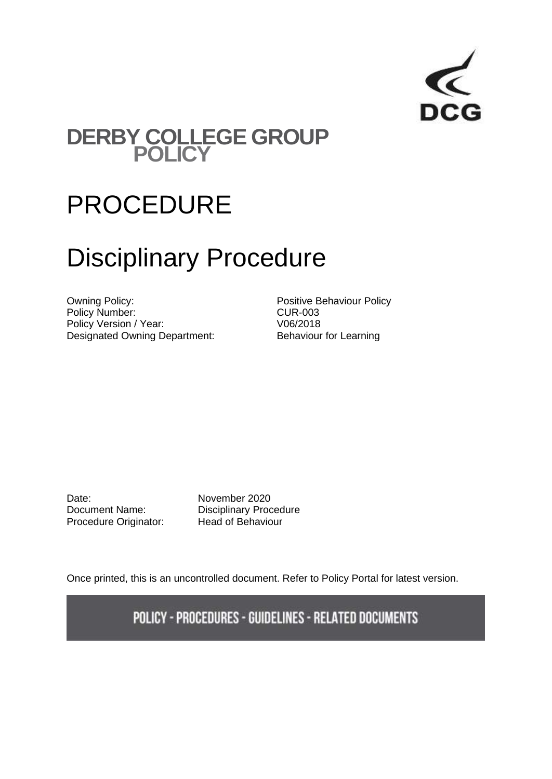

## **DERBY COLLEGE GROUP POLICY**

# PROCEDURE

# Disciplinary Procedure

Owning Policy: example and the Positive Behaviour Policy Policy Number:<br>
Policy Version / Year:<br>
V06/2018 Policy Version / Year: Designated Owning Department: Behaviour for Learning

Date: November 2020 Procedure Originator: Head of Behaviour

Document Name: Disciplinary Procedure

Once printed, this is an uncontrolled document. Refer to Policy Portal for latest version.

POLICY - PROCEDURES - GUIDELINES - RELATED DOCUMENTS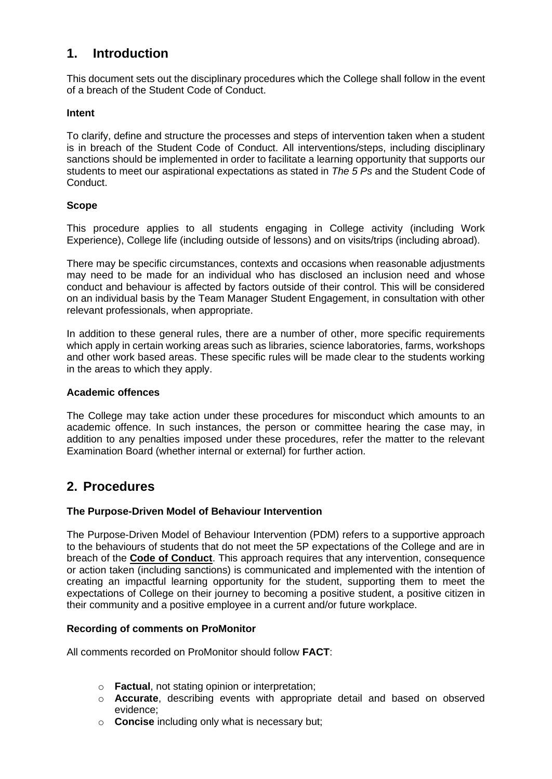### **1. Introduction**

This document sets out the disciplinary procedures which the College shall follow in the event of a breach of the Student Code of Conduct.

#### **Intent**

To clarify, define and structure the processes and steps of intervention taken when a student is in breach of the Student Code of Conduct. All interventions/steps, including disciplinary sanctions should be implemented in order to facilitate a learning opportunity that supports our students to meet our aspirational expectations as stated in *The 5 Ps* and the Student Code of Conduct.

#### **Scope**

This procedure applies to all students engaging in College activity (including Work Experience), College life (including outside of lessons) and on visits/trips (including abroad).

There may be specific circumstances, contexts and occasions when reasonable adjustments may need to be made for an individual who has disclosed an inclusion need and whose conduct and behaviour is affected by factors outside of their control. This will be considered on an individual basis by the Team Manager Student Engagement, in consultation with other relevant professionals, when appropriate.

In addition to these general rules, there are a number of other, more specific requirements which apply in certain working areas such as libraries, science laboratories, farms, workshops and other work based areas. These specific rules will be made clear to the students working in the areas to which they apply.

#### **Academic offences**

The College may take action under these procedures for misconduct which amounts to an academic offence. In such instances, the person or committee hearing the case may, in addition to any penalties imposed under these procedures, refer the matter to the relevant Examination Board (whether internal or external) for further action.

### **2. Procedures**

#### **The Purpose-Driven Model of Behaviour Intervention**

The Purpose-Driven Model of Behaviour Intervention (PDM) refers to a supportive approach to the behaviours of students that do not meet the 5P expectations of the College and are in breach of the **Code of Conduct**. This approach requires that any intervention, consequence or action taken (including sanctions) is communicated and implemented with the intention of creating an impactful learning opportunity for the student, supporting them to meet the expectations of College on their journey to becoming a positive student, a positive citizen in their community and a positive employee in a current and/or future workplace.

#### **Recording of comments on ProMonitor**

All comments recorded on ProMonitor should follow **FACT**:

- o **Factual**, not stating opinion or interpretation;
- o **Accurate**, describing events with appropriate detail and based on observed evidence;
- o **Concise** including only what is necessary but;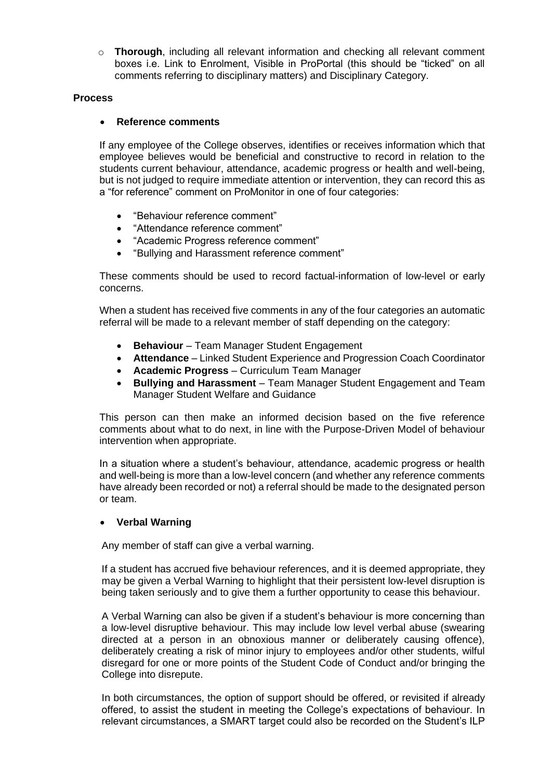o **Thorough**, including all relevant information and checking all relevant comment boxes i.e. Link to Enrolment, Visible in ProPortal (this should be "ticked" on all comments referring to disciplinary matters) and Disciplinary Category.

#### **Process**

#### • **Reference comments**

If any employee of the College observes, identifies or receives information which that employee believes would be beneficial and constructive to record in relation to the students current behaviour, attendance, academic progress or health and well-being, but is not judged to require immediate attention or intervention, they can record this as a "for reference" comment on ProMonitor in one of four categories:

- "Behaviour reference comment"
- "Attendance reference comment"
- "Academic Progress reference comment"
- "Bullying and Harassment reference comment"

These comments should be used to record factual-information of low-level or early concerns.

When a student has received five comments in any of the four categories an automatic referral will be made to a relevant member of staff depending on the category:

- **Behaviour** Team Manager Student Engagement
- **Attendance** Linked Student Experience and Progression Coach Coordinator
- **Academic Progress** Curriculum Team Manager
- **Bullying and Harassment** Team Manager Student Engagement and Team Manager Student Welfare and Guidance

This person can then make an informed decision based on the five reference comments about what to do next, in line with the Purpose-Driven Model of behaviour intervention when appropriate.

In a situation where a student's behaviour, attendance, academic progress or health and well-being is more than a low-level concern (and whether any reference comments have already been recorded or not) a referral should be made to the designated person or team.

#### • **Verbal Warning**

Any member of staff can give a verbal warning.

If a student has accrued five behaviour references, and it is deemed appropriate, they may be given a Verbal Warning to highlight that their persistent low-level disruption is being taken seriously and to give them a further opportunity to cease this behaviour.

A Verbal Warning can also be given if a student's behaviour is more concerning than a low-level disruptive behaviour. This may include low level verbal abuse (swearing directed at a person in an obnoxious manner or deliberately causing offence), deliberately creating a risk of minor injury to employees and/or other students, wilful disregard for one or more points of the Student Code of Conduct and/or bringing the College into disrepute.

In both circumstances, the option of support should be offered, or revisited if already offered, to assist the student in meeting the College's expectations of behaviour. In relevant circumstances, a SMART target could also be recorded on the Student's ILP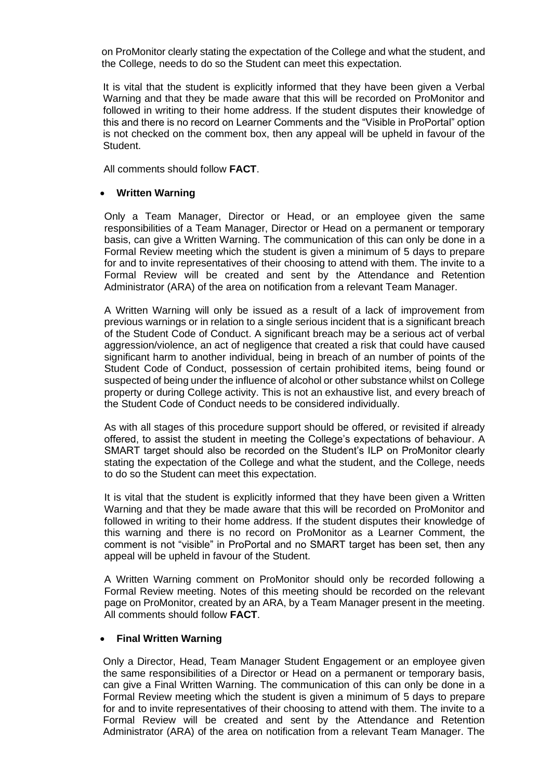on ProMonitor clearly stating the expectation of the College and what the student, and the College, needs to do so the Student can meet this expectation.

It is vital that the student is explicitly informed that they have been given a Verbal Warning and that they be made aware that this will be recorded on ProMonitor and followed in writing to their home address. If the student disputes their knowledge of this and there is no record on Learner Comments and the "Visible in ProPortal" option is not checked on the comment box, then any appeal will be upheld in favour of the Student.

All comments should follow **FACT**.

#### • **Written Warning**

Only a Team Manager, Director or Head, or an employee given the same responsibilities of a Team Manager, Director or Head on a permanent or temporary basis, can give a Written Warning. The communication of this can only be done in a Formal Review meeting which the student is given a minimum of 5 days to prepare for and to invite representatives of their choosing to attend with them. The invite to a Formal Review will be created and sent by the Attendance and Retention Administrator (ARA) of the area on notification from a relevant Team Manager.

A Written Warning will only be issued as a result of a lack of improvement from previous warnings or in relation to a single serious incident that is a significant breach of the Student Code of Conduct. A significant breach may be a serious act of verbal aggression/violence, an act of negligence that created a risk that could have caused significant harm to another individual, being in breach of an number of points of the Student Code of Conduct, possession of certain prohibited items, being found or suspected of being under the influence of alcohol or other substance whilst on College property or during College activity. This is not an exhaustive list, and every breach of the Student Code of Conduct needs to be considered individually.

As with all stages of this procedure support should be offered, or revisited if already offered, to assist the student in meeting the College's expectations of behaviour. A SMART target should also be recorded on the Student's ILP on ProMonitor clearly stating the expectation of the College and what the student, and the College, needs to do so the Student can meet this expectation.

It is vital that the student is explicitly informed that they have been given a Written Warning and that they be made aware that this will be recorded on ProMonitor and followed in writing to their home address. If the student disputes their knowledge of this warning and there is no record on ProMonitor as a Learner Comment, the comment is not "visible" in ProPortal and no SMART target has been set, then any appeal will be upheld in favour of the Student.

A Written Warning comment on ProMonitor should only be recorded following a Formal Review meeting. Notes of this meeting should be recorded on the relevant page on ProMonitor, created by an ARA, by a Team Manager present in the meeting. All comments should follow **FACT**.

#### • **Final Written Warning**

Only a Director, Head, Team Manager Student Engagement or an employee given the same responsibilities of a Director or Head on a permanent or temporary basis, can give a Final Written Warning. The communication of this can only be done in a Formal Review meeting which the student is given a minimum of 5 days to prepare for and to invite representatives of their choosing to attend with them. The invite to a Formal Review will be created and sent by the Attendance and Retention Administrator (ARA) of the area on notification from a relevant Team Manager. The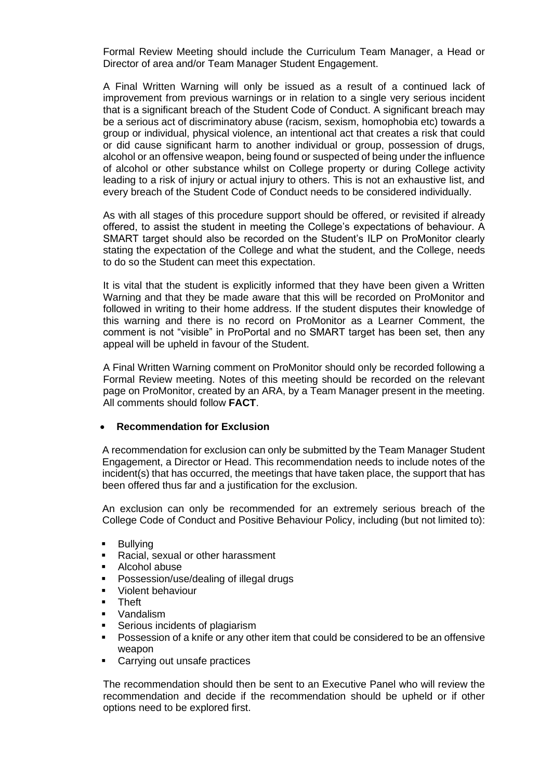Formal Review Meeting should include the Curriculum Team Manager, a Head or Director of area and/or Team Manager Student Engagement.

A Final Written Warning will only be issued as a result of a continued lack of improvement from previous warnings or in relation to a single very serious incident that is a significant breach of the Student Code of Conduct. A significant breach may be a serious act of discriminatory abuse (racism, sexism, homophobia etc) towards a group or individual, physical violence, an intentional act that creates a risk that could or did cause significant harm to another individual or group, possession of drugs, alcohol or an offensive weapon, being found or suspected of being under the influence of alcohol or other substance whilst on College property or during College activity leading to a risk of injury or actual injury to others. This is not an exhaustive list, and every breach of the Student Code of Conduct needs to be considered individually.

As with all stages of this procedure support should be offered, or revisited if already offered, to assist the student in meeting the College's expectations of behaviour. A SMART target should also be recorded on the Student's ILP on ProMonitor clearly stating the expectation of the College and what the student, and the College, needs to do so the Student can meet this expectation.

It is vital that the student is explicitly informed that they have been given a Written Warning and that they be made aware that this will be recorded on ProMonitor and followed in writing to their home address. If the student disputes their knowledge of this warning and there is no record on ProMonitor as a Learner Comment, the comment is not "visible" in ProPortal and no SMART target has been set, then any appeal will be upheld in favour of the Student.

A Final Written Warning comment on ProMonitor should only be recorded following a Formal Review meeting. Notes of this meeting should be recorded on the relevant page on ProMonitor, created by an ARA, by a Team Manager present in the meeting. All comments should follow **FACT**.

#### • **Recommendation for Exclusion**

A recommendation for exclusion can only be submitted by the Team Manager Student Engagement, a Director or Head. This recommendation needs to include notes of the incident(s) that has occurred, the meetings that have taken place, the support that has been offered thus far and a justification for the exclusion.

An exclusion can only be recommended for an extremely serious breach of the College Code of Conduct and Positive Behaviour Policy, including (but not limited to):

- Bullying
- Racial, sexual or other harassment
- Alcohol abuse
- Possession/use/dealing of illegal drugs
- Violent behaviour
- **Theft**
- Vandalism
- Serious incidents of plagiarism
- **•** Possession of a knife or any other item that could be considered to be an offensive weapon
- Carrying out unsafe practices

The recommendation should then be sent to an Executive Panel who will review the recommendation and decide if the recommendation should be upheld or if other options need to be explored first.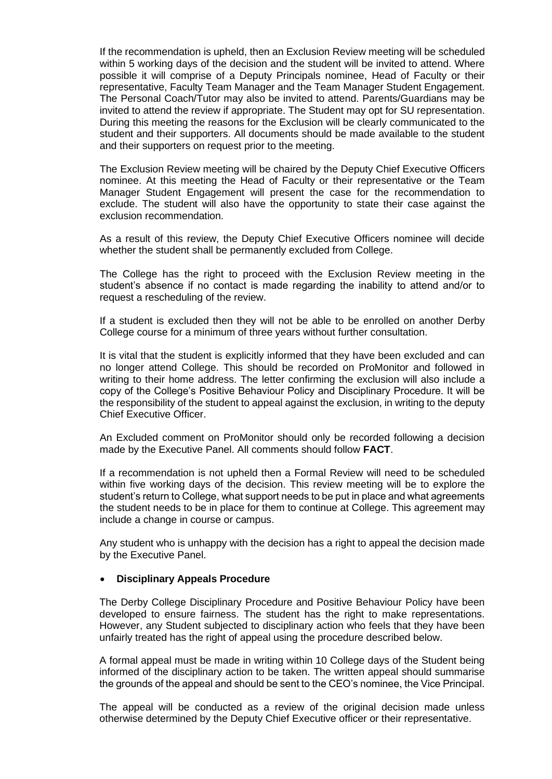If the recommendation is upheld, then an Exclusion Review meeting will be scheduled within 5 working days of the decision and the student will be invited to attend. Where possible it will comprise of a Deputy Principals nominee, Head of Faculty or their representative, Faculty Team Manager and the Team Manager Student Engagement. The Personal Coach/Tutor may also be invited to attend. Parents/Guardians may be invited to attend the review if appropriate. The Student may opt for SU representation. During this meeting the reasons for the Exclusion will be clearly communicated to the student and their supporters. All documents should be made available to the student and their supporters on request prior to the meeting.

The Exclusion Review meeting will be chaired by the Deputy Chief Executive Officers nominee. At this meeting the Head of Faculty or their representative or the Team Manager Student Engagement will present the case for the recommendation to exclude. The student will also have the opportunity to state their case against the exclusion recommendation.

As a result of this review, the Deputy Chief Executive Officers nominee will decide whether the student shall be permanently excluded from College.

The College has the right to proceed with the Exclusion Review meeting in the student's absence if no contact is made regarding the inability to attend and/or to request a rescheduling of the review.

If a student is excluded then they will not be able to be enrolled on another Derby College course for a minimum of three years without further consultation.

It is vital that the student is explicitly informed that they have been excluded and can no longer attend College. This should be recorded on ProMonitor and followed in writing to their home address. The letter confirming the exclusion will also include a copy of the College's Positive Behaviour Policy and Disciplinary Procedure. It will be the responsibility of the student to appeal against the exclusion, in writing to the deputy Chief Executive Officer.

An Excluded comment on ProMonitor should only be recorded following a decision made by the Executive Panel. All comments should follow **FACT**.

If a recommendation is not upheld then a Formal Review will need to be scheduled within five working days of the decision. This review meeting will be to explore the student's return to College, what support needs to be put in place and what agreements the student needs to be in place for them to continue at College. This agreement may include a change in course or campus.

Any student who is unhappy with the decision has a right to appeal the decision made by the Executive Panel.

#### • **Disciplinary Appeals Procedure**

The Derby College Disciplinary Procedure and Positive Behaviour Policy have been developed to ensure fairness. The student has the right to make representations. However, any Student subjected to disciplinary action who feels that they have been unfairly treated has the right of appeal using the procedure described below.

A formal appeal must be made in writing within 10 College days of the Student being informed of the disciplinary action to be taken. The written appeal should summarise the grounds of the appeal and should be sent to the CEO's nominee, the Vice Principal.

The appeal will be conducted as a review of the original decision made unless otherwise determined by the Deputy Chief Executive officer or their representative.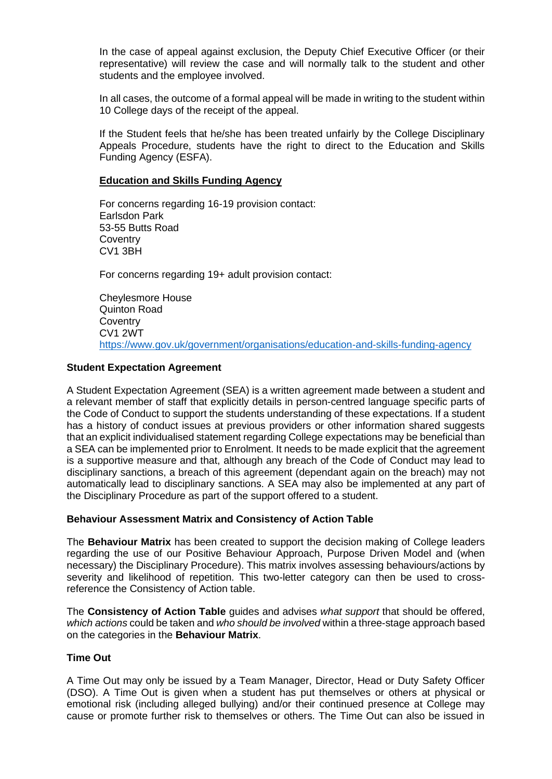In the case of appeal against exclusion, the Deputy Chief Executive Officer (or their representative) will review the case and will normally talk to the student and other students and the employee involved.

In all cases, the outcome of a formal appeal will be made in writing to the student within 10 College days of the receipt of the appeal.

If the Student feels that he/she has been treated unfairly by the College Disciplinary Appeals Procedure, students have the right to direct to the Education and Skills Funding Agency (ESFA).

#### **Education and Skills Funding Agency**

For concerns regarding 16-19 provision contact: Earlsdon Park 53-55 Butts Road **Coventry** CV1 3BH

For concerns regarding 19+ adult provision contact:

Cheylesmore House Quinton Road **Coventry** CV1 2WT <https://www.gov.uk/government/organisations/education-and-skills-funding-agency>

#### **Student Expectation Agreement**

A Student Expectation Agreement (SEA) is a written agreement made between a student and a relevant member of staff that explicitly details in person-centred language specific parts of the Code of Conduct to support the students understanding of these expectations. If a student has a history of conduct issues at previous providers or other information shared suggests that an explicit individualised statement regarding College expectations may be beneficial than a SEA can be implemented prior to Enrolment. It needs to be made explicit that the agreement is a supportive measure and that, although any breach of the Code of Conduct may lead to disciplinary sanctions, a breach of this agreement (dependant again on the breach) may not automatically lead to disciplinary sanctions. A SEA may also be implemented at any part of the Disciplinary Procedure as part of the support offered to a student.

#### **Behaviour Assessment Matrix and Consistency of Action Table**

The **Behaviour Matrix** has been created to support the decision making of College leaders regarding the use of our Positive Behaviour Approach, Purpose Driven Model and (when necessary) the Disciplinary Procedure). This matrix involves assessing behaviours/actions by severity and likelihood of repetition. This two-letter category can then be used to crossreference the Consistency of Action table.

The **Consistency of Action Table** guides and advises *what support* that should be offered, *which actions* could be taken and *who should be involved* within a three-stage approach based on the categories in the **Behaviour Matrix**.

#### **Time Out**

A Time Out may only be issued by a Team Manager, Director, Head or Duty Safety Officer (DSO). A Time Out is given when a student has put themselves or others at physical or emotional risk (including alleged bullying) and/or their continued presence at College may cause or promote further risk to themselves or others. The Time Out can also be issued in